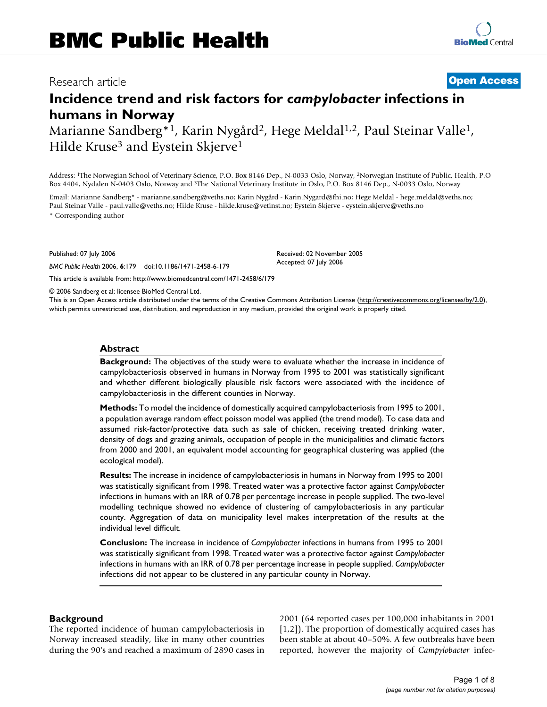# Research article **[Open Access](http://www.biomedcentral.com/info/about/charter/)**

# **Incidence trend and risk factors for** *campylobacter* **infections in humans in Norway**

Marianne Sandberg<sup>\*1</sup>, Karin Nygård<sup>2</sup>, Hege Meldal<sup>1,2</sup>, Paul Steinar Valle<sup>1</sup>, Hilde Kruse<sup>3</sup> and Eystein Skjerve<sup>1</sup>

Address: 1The Norwegian School of Veterinary Science, P.O. Box 8146 Dep., N-0033 Oslo, Norway, 2Norwegian Institute of Public, Health, P.O Box 4404, Nydalen N-0403 Oslo, Norway and 3The National Veterinary Institute in Oslo, P.O. Box 8146 Dep., N-0033 Oslo, Norway

Email: Marianne Sandberg\* - marianne.sandberg@veths.no; Karin Nygård - Karin.Nygard@fhi.no; Hege Meldal - hege.meldal@veths.no; Paul Steinar Valle - paul.valle@veths.no; Hilde Kruse - hilde.kruse@vetinst.no; Eystein Skjerve - eystein.skjerve@veths.no \* Corresponding author

Published: 07 July 2006

*BMC Public Health* 2006, **6**:179 doi:10.1186/1471-2458-6-179

[This article is available from: http://www.biomedcentral.com/1471-2458/6/179](http://www.biomedcentral.com/1471-2458/6/179)

© 2006 Sandberg et al; licensee BioMed Central Ltd.

This is an Open Access article distributed under the terms of the Creative Commons Attribution License [\(http://creativecommons.org/licenses/by/2.0\)](http://creativecommons.org/licenses/by/2.0), which permits unrestricted use, distribution, and reproduction in any medium, provided the original work is properly cited.

Received: 02 November 2005 Accepted: 07 July 2006

#### **Abstract**

**Background:** The objectives of the study were to evaluate whether the increase in incidence of campylobacteriosis observed in humans in Norway from 1995 to 2001 was statistically significant and whether different biologically plausible risk factors were associated with the incidence of campylobacteriosis in the different counties in Norway.

**Methods:** To model the incidence of domestically acquired campylobacteriosis from 1995 to 2001, a population average random effect poisson model was applied (the trend model). To case data and assumed risk-factor/protective data such as sale of chicken, receiving treated drinking water, density of dogs and grazing animals, occupation of people in the municipalities and climatic factors from 2000 and 2001, an equivalent model accounting for geographical clustering was applied (the ecological model).

**Results:** The increase in incidence of campylobacteriosis in humans in Norway from 1995 to 2001 was statistically significant from 1998. Treated water was a protective factor against *Campylobacter* infections in humans with an IRR of 0.78 per percentage increase in people supplied. The two-level modelling technique showed no evidence of clustering of campylobacteriosis in any particular county. Aggregation of data on municipality level makes interpretation of the results at the individual level difficult.

**Conclusion:** The increase in incidence of *Campylobacter* infections in humans from 1995 to 2001 was statistically significant from 1998. Treated water was a protective factor against *Campylobacter* infections in humans with an IRR of 0.78 per percentage increase in people supplied. *Campylobacter* infections did not appear to be clustered in any particular county in Norway.

#### **Background**

The reported incidence of human campylobacteriosis in Norway increased steadily, like in many other countries during the 90's and reached a maximum of 2890 cases in 2001 (64 reported cases per 100,000 inhabitants in 2001 [1,2]). The proportion of domestically acquired cases has been stable at about 40–50%. A few outbreaks have been reported, however the majority of *Campylobacter* infec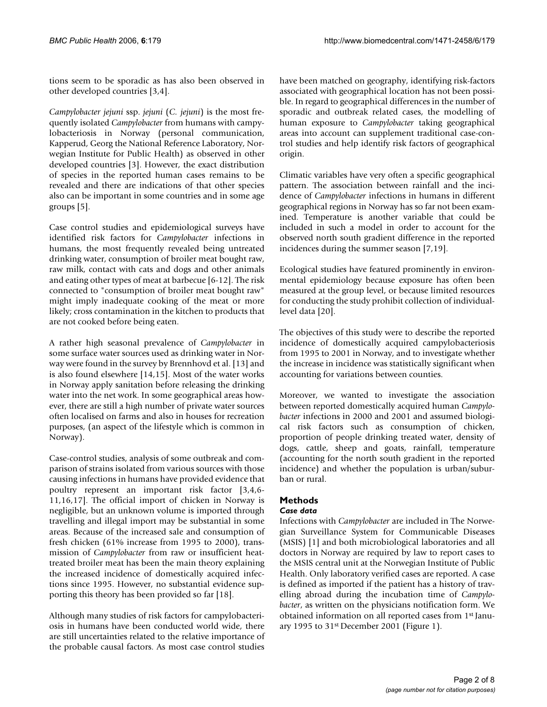tions seem to be sporadic as has also been observed in other developed countries [3,4].

*Campylobacter jejuni* ssp. *jejuni* (*C. jejuni*) is the most frequently isolated *Campylobacter* from humans with campylobacteriosis in Norway (personal communication, Kapperud, Georg the National Reference Laboratory, Norwegian Institute for Public Health) as observed in other developed countries [3]. However, the exact distribution of species in the reported human cases remains to be revealed and there are indications of that other species also can be important in some countries and in some age groups [5].

Case control studies and epidemiological surveys have identified risk factors for *Campylobacter* infections in humans, the most frequently revealed being untreated drinking water, consumption of broiler meat bought raw, raw milk, contact with cats and dogs and other animals and eating other types of meat at barbecue [\[6](#page-6-0)-12]. The risk connected to "consumption of broiler meat bought raw" might imply inadequate cooking of the meat or more likely; cross contamination in the kitchen to products that are not cooked before being eaten.

A rather high seasonal prevalence of *Campylobacter* in some surface water sources used as drinking water in Norway were found in the survey by Brennhovd et al. [13] and is also found elsewhere [14,15]. Most of the water works in Norway apply sanitation before releasing the drinking water into the net work. In some geographical areas however, there are still a high number of private water sources often localised on farms and also in houses for recreation purposes, (an aspect of the lifestyle which is common in Norway).

Case-control studies, analysis of some outbreak and comparison of strains isolated from various sources with those causing infections in humans have provided evidence that poultry represent an important risk factor [3,4,[6](#page-6-0)- 11[,16](#page-6-1),17]. The official import of chicken in Norway is negligible, but an unknown volume is imported through travelling and illegal import may be substantial in some areas. Because of the increased sale and consumption of fresh chicken (61% increase from 1995 to 2000), transmission of *Campylobacter* from raw or insufficient heattreated broiler meat has been the main theory explaining the increased incidence of domestically acquired infections since 1995. However, no substantial evidence supporting this theory has been provided so far [18].

Although many studies of risk factors for campylobacteriosis in humans have been conducted world wide, there are still uncertainties related to the relative importance of the probable causal factors. As most case control studies have been matched on geography, identifying risk-factors associated with geographical location has not been possible. In regard to geographical differences in the number of sporadic and outbreak related cases, the modelling of human exposure to *Campylobacter* taking geographical areas into account can supplement traditional case-control studies and help identify risk factors of geographical origin.

Climatic variables have very often a specific geographical pattern. The association between rainfall and the incidence of *Campylobacter* infections in humans in different geographical regions in Norway has so far not been examined. Temperature is another variable that could be included in such a model in order to account for the observed north south gradient difference in the reported incidences during the summer season [\[7,](#page-6-2)19].

Ecological studies have featured prominently in environmental epidemiology because exposure has often been measured at the group level, or because limited resources for conducting the study prohibit collection of individuallevel data [20].

The objectives of this study were to describe the reported incidence of domestically acquired campylobacteriosis from 1995 to 2001 in Norway, and to investigate whether the increase in incidence was statistically significant when accounting for variations between counties.

Moreover, we wanted to investigate the association between reported domestically acquired human *Campylobacter* infections in 2000 and 2001 and assumed biological risk factors such as consumption of chicken, proportion of people drinking treated water, density of dogs, cattle, sheep and goats, rainfall, temperature (accounting for the north south gradient in the reported incidence) and whether the population is urban/suburban or rural.

# **Methods**

# *Case data*

Infections with *Campylobacter* are included in The Norwegian Surveillance System for Communicable Diseases (MSIS) [1] and both microbiological laboratories and all doctors in Norway are required by law to report cases to the MSIS central unit at the Norwegian Institute of Public Health. Only laboratory verified cases are reported. A case is defined as imported if the patient has a history of travelling abroad during the incubation time of *Campylobacter*, as written on the physicians notification form. We obtained information on all reported cases from 1st January 1995 to 31st December 2001 (Figure 1).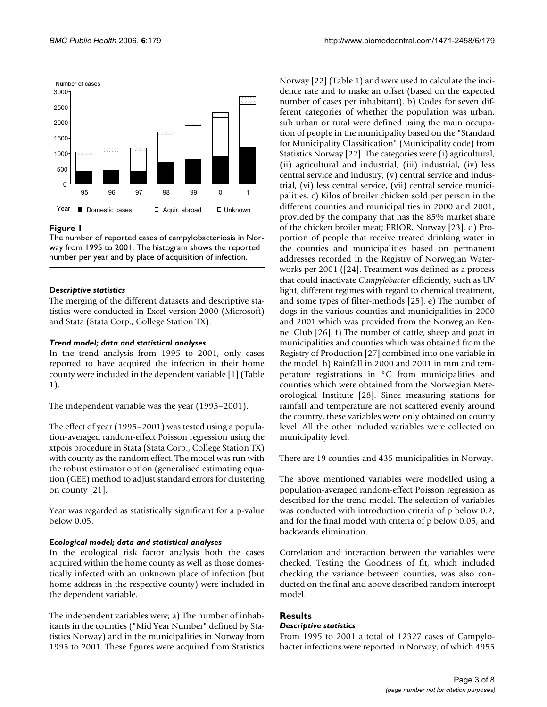

#### Figure 1

The number of reported cases of campylobacteriosis in Norway from 1995 to 2001. The histogram shows the reported number per year and by place of acquisition of infection.

#### *Descriptive statistics*

The merging of the different datasets and descriptive statistics were conducted in Excel version 2000 (Microsoft) and Stata (Stata Corp., College Station TX).

#### *Trend model; data and statistical analyses*

In the trend analysis from 1995 to 2001, only cases reported to have acquired the infection in their home county were included in the dependent variable [1] (Table 1).

The independent variable was the year (1995–2001).

The effect of year (1995–2001) was tested using a population-averaged random-effect Poisson regression using the xtpois procedure in Stata (Stata Corp., College Station TX) with county as the random effect. The model was run with the robust estimator option (generalised estimating equation (GEE) method to adjust standard errors for clustering on county [21].

Year was regarded as statistically significant for a p-value below 0.05.

#### *Ecological model; data and statistical analyses*

In the ecological risk factor analysis both the cases acquired within the home county as well as those domestically infected with an unknown place of infection (but home address in the respective county) were included in the dependent variable.

The independent variables were; a) The number of inhabitants in the counties ("Mid Year Number" defined by Statistics Norway) and in the municipalities in Norway from 1995 to 2001. These figures were acquired from Statistics Norway [22] (Table 1) and were used to calculate the incidence rate and to make an offset (based on the expected number of cases per inhabitant). b) Codes for seven different categories of whether the population was urban, sub urban or rural were defined using the main occupation of people in the municipality based on the "Standard for Municipality Classification" (Municipality code) from Statistics Norway [22]. The categories were (i) agricultural, (ii) agricultural and industrial, (iii) industrial, (iv) less central service and industry, (v) central service and industrial, (vi) less central service, (vii) central service municipalities. c) Kilos of broiler chicken sold per person in the different counties and municipalities in 2000 and 2001, provided by the company that has the 85% market share of the chicken broiler meat; PRIOR, Norway [23]. d) Proportion of people that receive treated drinking water in the counties and municipalities based on permanent addresses recorded in the Registry of Norwegian Waterworks per 2001 ([24]. Treatment was defined as a process that could inactivate *Campylobacter* efficiently, such as UV light, different regimes with regard to chemical treatment, and some types of filter-methods [25]. e) The number of dogs in the various counties and municipalities in 2000 and 2001 which was provided from the Norwegian Kennel Club [26]. f) The number of cattle, sheep and goat in municipalities and counties which was obtained from the Registry of Production [27] combined into one variable in the model. h) Rainfall in 2000 and 2001 in mm and temperature registrations in °C from municipalities and counties which were obtained from the Norwegian Meteorological Institute [28]. Since measuring stations for rainfall and temperature are not scattered evenly around the country, these variables were only obtained on county level. All the other included variables were collected on municipality level.

There are 19 counties and 435 municipalities in Norway.

The above mentioned variables were modelled using a population-averaged random-effect Poisson regression as described for the trend model. The selection of variables was conducted with introduction criteria of p below 0.2, and for the final model with criteria of p below 0.05, and backwards elimination.

Correlation and interaction between the variables were checked. Testing the Goodness of fit, which included checking the variance between counties, was also conducted on the final and above described random intercept model.

## **Results** *Descriptive statistics*

From 1995 to 2001 a total of 12327 cases of Campylobacter infections were reported in Norway, of which 4955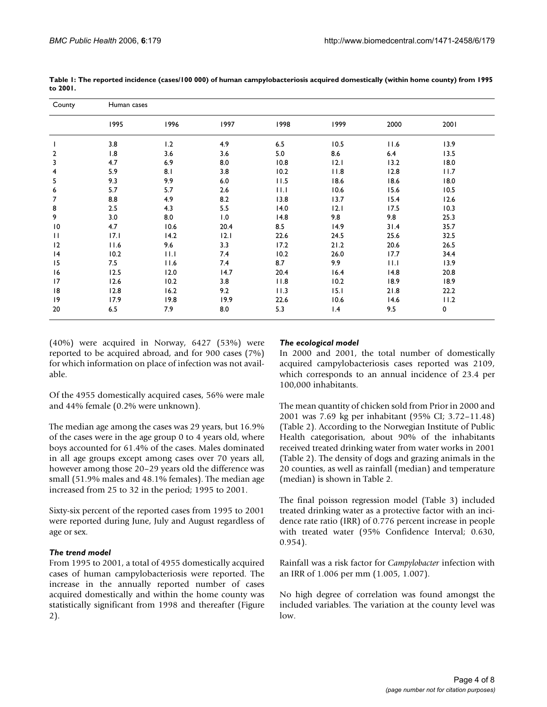| County       | Human cases |      |      |      |      |      |      |  |  |  |
|--------------|-------------|------|------|------|------|------|------|--|--|--|
|              | 1995        | 1996 | 1997 | 1998 | 1999 | 2000 | 2001 |  |  |  |
|              | 3.8         | 1.2  | 4.9  | 6.5  | 10.5 | 11.6 | 13.9 |  |  |  |
| 2            | 1.8         | 3.6  | 3.6  | 5.0  | 8.6  | 6.4  | 13.5 |  |  |  |
| 3            | 4.7         | 6.9  | 8.0  | 10.8 | 12.1 | 13.2 | 18.0 |  |  |  |
| 4            | 5.9         | 8.1  | 3.8  | 10.2 | 11.8 | 12.8 | 11.7 |  |  |  |
| 5            | 9.3         | 9.9  | 6.0  | 11.5 | 18.6 | 18.6 | 18.0 |  |  |  |
| 6            | 5.7         | 5.7  | 2.6  | 11.1 | 10.6 | 15.6 | 10.5 |  |  |  |
| 7            | 8.8         | 4.9  | 8.2  | 13.8 | 13.7 | 15.4 | 12.6 |  |  |  |
| 8            | 2.5         | 4.3  | 5.5  | 14.0 | 2.1  | 17.5 | 10.3 |  |  |  |
| 9            | 3.0         | 8.0  | 1.0  | 14.8 | 9.8  | 9.8  | 25.3 |  |  |  |
| 10           | 4.7         | 10.6 | 20.4 | 8.5  | 14.9 | 31.4 | 35.7 |  |  |  |
| $\mathbf{H}$ | 17.1        | 14.2 | 2.1  | 22.6 | 24.5 | 25.6 | 32.5 |  |  |  |
| 12           | 11.6        | 9.6  | 3.3  | 17.2 | 21.2 | 20.6 | 26.5 |  |  |  |
| 4            | 10.2        | 11.1 | 7.4  | 10.2 | 26.0 | 17.7 | 34.4 |  |  |  |
| 15           | 7.5         | 11.6 | 7.4  | 8.7  | 9.9  | 11.1 | 13.9 |  |  |  |
| 16           | 12.5        | 12.0 | 14.7 | 20.4 | 16.4 | 14.8 | 20.8 |  |  |  |
| 17           | 12.6        | 10.2 | 3.8  | 11.8 | 10.2 | 18.9 | 18.9 |  |  |  |
| 18           | 12.8        | 16.2 | 9.2  | 11.3 | 15.1 | 21.8 | 22.2 |  |  |  |
| $ 9\rangle$  | 17.9        | 19.8 | 19.9 | 22.6 | 10.6 | 14.6 | 11.2 |  |  |  |
| 20           | 6.5         | 7.9  | 8.0  | 5.3  | 1.4  | 9.5  | 0    |  |  |  |

**Table 1: The reported incidence (cases/100 000) of human campylobacteriosis acquired domestically (within home county) from 1995 to 2001.**

(40%) were acquired in Norway, 6427 (53%) were reported to be acquired abroad, and for 900 cases (7%) for which information on place of infection was not available.

Of the 4955 domestically acquired cases, 56% were male and 44% female (0.2% were unknown).

The median age among the cases was 29 years, but 16.9% of the cases were in the age group 0 to 4 years old, where boys accounted for 61.4% of the cases. Males dominated in all age groups except among cases over 70 years all, however among those 20–29 years old the difference was small (51.9% males and 48.1% females). The median age increased from 25 to 32 in the period; 1995 to 2001.

Sixty-six percent of the reported cases from 1995 to 2001 were reported during June, July and August regardless of age or sex.

#### *The trend model*

From 1995 to 2001, a total of 4955 domestically acquired cases of human campylobacteriosis were reported. The increase in the annually reported number of cases acquired domestically and within the home county was statistically significant from 1998 and thereafter (Figure 2).

#### *The ecological model*

In 2000 and 2001, the total number of domestically acquired campylobacteriosis cases reported was 2109, which corresponds to an annual incidence of 23.4 per 100,000 inhabitants.

The mean quantity of chicken sold from Prior in 2000 and 2001 was 7.69 kg per inhabitant (95% CI; 3.72–11.48) (Table 2). According to the Norwegian Institute of Public Health categorisation, about 90% of the inhabitants received treated drinking water from water works in 2001 (Table 2). The density of dogs and grazing animals in the 20 counties, as well as rainfall (median) and temperature (median) is shown in Table 2.

The final poisson regression model (Table 3) included treated drinking water as a protective factor with an incidence rate ratio (IRR) of 0.776 percent increase in people with treated water (95% Confidence Interval; 0.630, 0.954).

Rainfall was a risk factor for *Campylobacter* infection with an IRR of 1.006 per mm (1.005, 1.007).

No high degree of correlation was found amongst the included variables. The variation at the county level was low.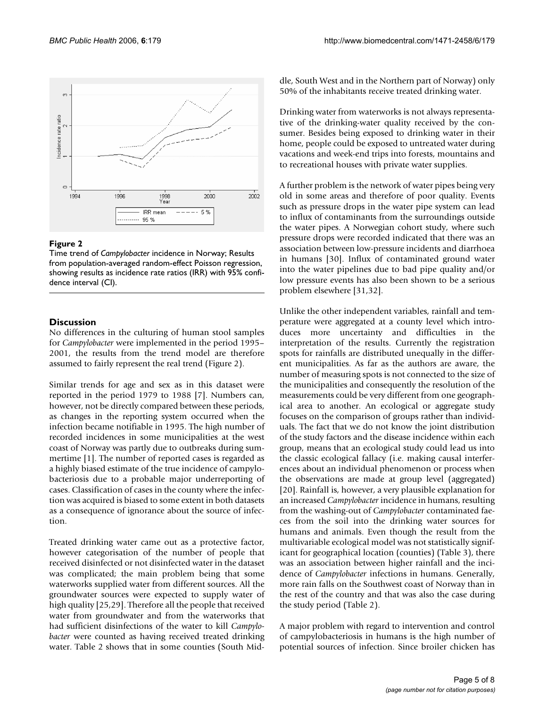

## **Figure 2**

Time trend of *Campylobacter* incidence in Norway; Results from population-averaged random-effect Poisson regression, showing results as incidence rate ratios (IRR) with 95% confidence interval (CI).

# **Discussion**

No differences in the culturing of human stool samples for *Campylobacter* were implemented in the period 1995– 2001, the results from the trend model are therefore assumed to fairly represent the real trend (Figure 2).

Similar trends for age and sex as in this dataset were reported in the period 1979 to 1988 [\[7\]](#page-6-2). Numbers can, however, not be directly compared between these periods, as changes in the reporting system occurred when the infection became notifiable in 1995. The high number of recorded incidences in some municipalities at the west coast of Norway was partly due to outbreaks during summertime [1]. The number of reported cases is regarded as a highly biased estimate of the true incidence of campylobacteriosis due to a probable major underreporting of cases. Classification of cases in the county where the infection was acquired is biased to some extent in both datasets as a consequence of ignorance about the source of infection.

Treated drinking water came out as a protective factor, however categorisation of the number of people that received disinfected or not disinfected water in the dataset was complicated; the main problem being that some waterworks supplied water from different sources. All the groundwater sources were expected to supply water of high quality [25,29]. Therefore all the people that received water from groundwater and from the waterworks that had sufficient disinfections of the water to kill *Campylobacter* were counted as having received treated drinking water. Table 2 shows that in some counties (South Middle, South West and in the Northern part of Norway) only 50% of the inhabitants receive treated drinking water.

Drinking water from waterworks is not always representative of the drinking-water quality received by the consumer. Besides being exposed to drinking water in their home, people could be exposed to untreated water during vacations and week-end trips into forests, mountains and to recreational houses with private water supplies.

A further problem is the network of water pipes being very old in some areas and therefore of poor quality. Events such as pressure drops in the water pipe system can lead to influx of contaminants from the surroundings outside the water pipes. A Norwegian cohort study, where such pressure drops were recorded indicated that there was an association between low-pressure incidents and diarrhoea in humans [30]. Influx of contaminated ground water into the water pipelines due to bad pipe quality and/or low pressure events has also been shown to be a serious problem elsewhere [31,32].

Unlike the other independent variables, rainfall and temperature were aggregated at a county level which introduces more uncertainty and difficulties in the interpretation of the results. Currently the registration spots for rainfalls are distributed unequally in the different municipalities. As far as the authors are aware, the number of measuring spots is not connected to the size of the municipalities and consequently the resolution of the measurements could be very different from one geographical area to another. An ecological or aggregate study focuses on the comparison of groups rather than individuals. The fact that we do not know the joint distribution of the study factors and the disease incidence within each group, means that an ecological study could lead us into the classic ecological fallacy (i.e. making causal interferences about an individual phenomenon or process when the observations are made at group level (aggregated) [20]. Rainfall is, however, a very plausible explanation for an increased *Campylobacter* incidence in humans, resulting from the washing-out of *Campylobacter* contaminated faeces from the soil into the drinking water sources for humans and animals. Even though the result from the multivariable ecological model was not statistically significant for geographical location (counties) (Table 3), there was an association between higher rainfall and the incidence of *Campylobacter* infections in humans. Generally, more rain falls on the Southwest coast of Norway than in the rest of the country and that was also the case during the study period (Table 2).

A major problem with regard to intervention and control of campylobacteriosis in humans is the high number of potential sources of infection. Since broiler chicken has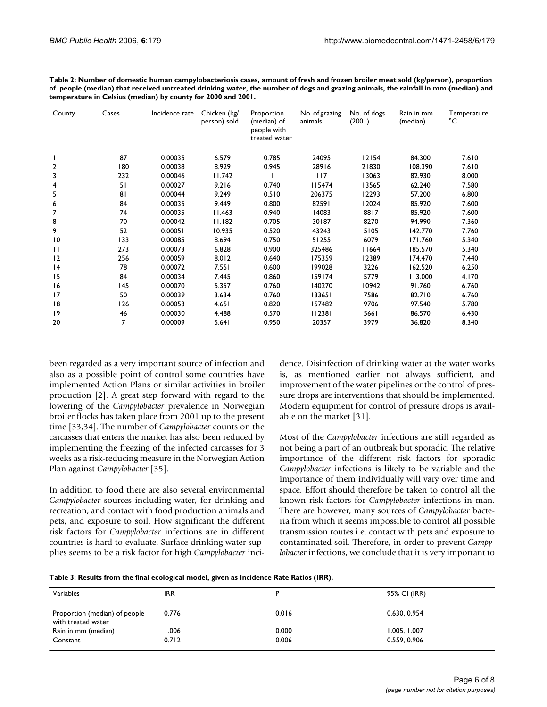| County          | Cases | Incidence rate | Chicken (kg/<br>person) sold | Proportion<br>(median) of<br>people with<br>treated water | No. of grazing<br>animals | No. of dogs<br>(2001) | Rain in mm<br>(median) | Temperature<br>°C |
|-----------------|-------|----------------|------------------------------|-----------------------------------------------------------|---------------------------|-----------------------|------------------------|-------------------|
|                 | 87    | 0.00035        | 6.579                        | 0.785                                                     | 24095                     | 12154                 | 84.300                 | 7.610             |
| 2               | 180   | 0.00038        | 8.929                        | 0.945                                                     | 28916                     | 21830                 | 108.390                | 7.610             |
| 3               | 232   | 0.00046        | 11.742                       |                                                           | 117                       | 13063                 | 82.930                 | 8.000             |
| 4               | 51    | 0.00027        | 9.216                        | 0.740                                                     | 115474                    | 13565                 | 62.240                 | 7.580             |
| 5               | 81    | 0.00044        | 9.249                        | 0.510                                                     | 206375                    | 12293                 | 57.200                 | 6.800             |
| 6               | 84    | 0.00035        | 9.449                        | 0.800                                                     | 82591                     | 12024                 | 85.920                 | 7.600             |
|                 | 74    | 0.00035        | 11.463                       | 0.940                                                     | 14083                     | 8817                  | 85.920                 | 7.600             |
| 8               | 70    | 0.00042        | 11.182                       | 0.705                                                     | 30187                     | 8270                  | 94.990                 | 7.360             |
| 9               | 52    | 0.00051        | 10.935                       | 0.520                                                     | 43243                     | 5105                  | 142.770                | 7.760             |
| 10              | 133   | 0.00085        | 8.694                        | 0.750                                                     | 51255                     | 6079                  | 171.760                | 5.340             |
| П               | 273   | 0.00073        | 6.828                        | 0.900                                                     | 325486                    | 11664                 | 185.570                | 5.340             |
| 12              | 256   | 0.00059        | 8.012                        | 0.640                                                     | 175359                    | 12389                 | 174.470                | 7.440             |
| 4               | 78    | 0.00072        | 7.551                        | 0.600                                                     | 199028                    | 3226                  | 162.520                | 6.250             |
| 15              | 84    | 0.00034        | 7.445                        | 0.860                                                     | 159174                    | 5779                  | 113.000                | 4.170             |
| 16              | 145   | 0.00070        | 5.357                        | 0.760                                                     | 140270                    | 10942                 | 91.760                 | 6.760             |
| $\overline{17}$ | 50    | 0.00039        | 3.634                        | 0.760                                                     | 133651                    | 7586                  | 82.710                 | 6.760             |
| 18              | 126   | 0.00053        | 4.651                        | 0.820                                                     | 157482                    | 9706                  | 97.540                 | 5.780             |
| 9               | 46    | 0.00030        | 4.488                        | 0.570                                                     | 112381                    | 5661                  | 86.570                 | 6.430             |
| 20              | 7     | 0.00009        | 5.641                        | 0.950                                                     | 20357                     | 3979                  | 36.820                 | 8.340             |

**Table 2: Number of domestic human campylobacteriosis cases, amount of fresh and frozen broiler meat sold (kg/person), proportion of people (median) that received untreated drinking water, the number of dogs and grazing animals, the rainfall in mm (median) and temperature in Celsius (median) by county for 2000 and 2001.**

been regarded as a very important source of infection and also as a possible point of control some countries have implemented Action Plans or similar activities in broiler production [2]. A great step forward with regard to the lowering of the *Campylobacter* prevalence in Norwegian broiler flocks has taken place from 2001 up to the present time [33,34]. The number of *Campylobacter* counts on the carcasses that enters the market has also been reduced by implementing the freezing of the infected carcasses for 3 weeks as a risk-reducing measure in the Norwegian Action Plan against *Campylobacter* [35].

In addition to food there are also several environmental *Campylobacter* sources including water, for drinking and recreation, and contact with food production animals and pets, and exposure to soil. How significant the different risk factors for *Campylobacter* infections are in different countries is hard to evaluate. Surface drinking water supplies seems to be a risk factor for high *Campylobacter* incidence. Disinfection of drinking water at the water works is, as mentioned earlier not always sufficient, and improvement of the water pipelines or the control of pressure drops are interventions that should be implemented. Modern equipment for control of pressure drops is available on the market [31].

Most of the *Campylobacter* infections are still regarded as not being a part of an outbreak but sporadic. The relative importance of the different risk factors for sporadic *Campylobacter* infections is likely to be variable and the importance of them individually will vary over time and space. Effort should therefore be taken to control all the known risk factors for *Campylobacter* infections in man. There are however, many sources of *Campylobacter* bacteria from which it seems impossible to control all possible transmission routes i.e. contact with pets and exposure to contaminated soil. Therefore, in order to prevent *Campylobacter* infections, we conclude that it is very important to

| Table 3: Results from the final ecological model, given as Incidence Rate Ratios (IRR). |  |  |  |  |  |  |  |  |  |  |
|-----------------------------------------------------------------------------------------|--|--|--|--|--|--|--|--|--|--|
|-----------------------------------------------------------------------------------------|--|--|--|--|--|--|--|--|--|--|

| Variables                                           | <b>IRR</b> |       | 95% CI (IRR) |
|-----------------------------------------------------|------------|-------|--------------|
| Proportion (median) of people<br>with treated water | 0.776      | 0.016 | 0.630, 0.954 |
| Rain in mm (median)                                 | 1.006      | 0.000 | 1.005, 1.007 |
| Constant                                            | 0.712      | 0.006 | 0.559, 0.906 |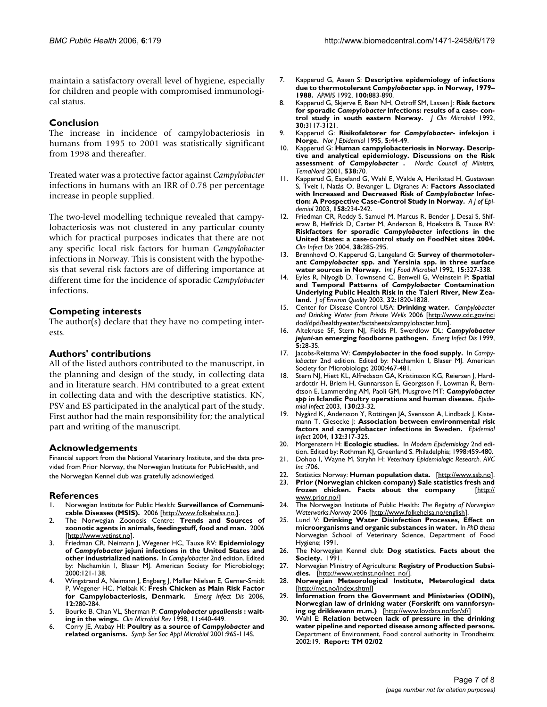maintain a satisfactory overall level of hygiene, especially for children and people with compromised immunological status.

## **Conclusion**

The increase in incidence of campylobacteriosis in humans from 1995 to 2001 was statistically significant from 1998 and thereafter.

Treated water was a protective factor against *Campylobacter* infections in humans with an IRR of 0.78 per percentage increase in people supplied.

The two-level modelling technique revealed that campylobacteriosis was not clustered in any particular county which for practical purposes indicates that there are not any specific local risk factors for human *Campylobacter* infections in Norway. This is consistent with the hypothesis that several risk factors are of differing importance at different time for the incidence of sporadic *Campylobacter* infections.

#### **Competing interests**

The author(s) declare that they have no competing interests.

#### **Authors' contributions**

All of the listed authors contributed to the manuscript, in the planning and design of the study, in collecting data and in literature search. HM contributed to a great extent in collecting data and with the descriptive statistics. KN, PSV and ES participated in the analytical part of the study. First author had the main responsibility for; the analytical part and writing of the manuscript.

#### **Acknowledgements**

Financial support from the National Veterinary Institute, and the data provided from Prior Norway, the Norwegian Institute for PublicHealth, and the Norwegian Kennel club was gratefully acknowledged.

#### **References**

- 1. Norwegian Institute for Public Health: **Surveillance of Communicable Diseases (MSIS).** 2006 [<http://www.folkehelsa.no.>].
- 2. The Norwegian Zoonosis Centre: **Trends and Sources of zoonotic agents in animals, feedingstuff, food and man.** 2006 [[http://www.vetinst.no\]](http://www.vetinst.no).
- 3. Friedman CR, Neimann J, Wegener HC, Tauxe RV: **Epidemiology of** *Campylobacter* **jejuni infections in the United States and other industrialized nations.** In *Campylobacter* 2nd edition. Edited by: Nachamkin I, Blaser MJ. American Society for Microbiology; 2000:121-138.
- 4. Wingstrand A, Neimann J, Engberg J, Møller Nielsen E, Gerner-Smidt P, Wegener HC, Mølbak K: **[Fresh Chicken as Main Risk Factor](http://www.ncbi.nlm.nih.gov/entrez/query.fcgi?cmd=Retrieve&db=PubMed&dopt=Abstract&list_uids=16494755) [for Campylobacteriosis, Denmark.](http://www.ncbi.nlm.nih.gov/entrez/query.fcgi?cmd=Retrieve&db=PubMed&dopt=Abstract&list_uids=16494755)** *Emerg Infect Dis* 2006, **12:**280-284.
- 5. Bourke B, Chan VL, Sherman P: *Campylobacter upsaliensis* **[: wait](http://www.ncbi.nlm.nih.gov/entrez/query.fcgi?cmd=Retrieve&db=PubMed&dopt=Abstract&list_uids=9665977)[ing in the wings.](http://www.ncbi.nlm.nih.gov/entrez/query.fcgi?cmd=Retrieve&db=PubMed&dopt=Abstract&list_uids=9665977)** *Clin Microbiol Rev* 1998, **11:**440-449.
- <span id="page-6-0"></span>6. Corry JE, Atabay HI: **Poultry as a source of** *Campylobacter* **[and](http://www.ncbi.nlm.nih.gov/entrez/query.fcgi?cmd=Retrieve&db=PubMed&dopt=Abstract&list_uids=11422565) [related organisms.](http://www.ncbi.nlm.nih.gov/entrez/query.fcgi?cmd=Retrieve&db=PubMed&dopt=Abstract&list_uids=11422565)** *Symp Ser Soc Appl Microbiol* 2001:96S-114S.
- <span id="page-6-2"></span>7. Kapperud G, Aasen S: **Descriptive epidemiology of infections due to thermotolerant** *Campylobacter* **[spp. in Norway, 1979–](http://www.ncbi.nlm.nih.gov/entrez/query.fcgi?cmd=Retrieve&db=PubMed&dopt=Abstract&list_uids=1445694) [1988.](http://www.ncbi.nlm.nih.gov/entrez/query.fcgi?cmd=Retrieve&db=PubMed&dopt=Abstract&list_uids=1445694)** *APMIS* 1992, **100:**883-890.
- 8. Kapperud G, Skjerve E, Bean NH, Ostroff SM, Lassen J: **Risk factors for sporadic** *Campylobacter* **[infections: results of a case- con](http://www.ncbi.nlm.nih.gov/entrez/query.fcgi?cmd=Retrieve&db=PubMed&dopt=Abstract&list_uids=1452694)[trol study in south eastern Norway.](http://www.ncbi.nlm.nih.gov/entrez/query.fcgi?cmd=Retrieve&db=PubMed&dopt=Abstract&list_uids=1452694)** *J Clin Microbiol* 1992, **30:**3117-3121.
- 9. Kapperud G: **Risikofaktorer for** *Campylobacter-* **infeksjon i Norge.** *Nor J Epidemiol* 1995, **5:**44-49.
- 10. Kapperud G: **Human campylobacteriosis in Norway. Descriptive and analytical epidemiology. Discussions on the Risk assessment of** *Campylobacter* **.** *Nordic Council of Ministrs, TemaNord* 2001, **538:**70.
- 11. Kapperud G, Espeland G, Wahl E, Walde A, Herikstad H, Gustavsen S, Tveit I, Natås O, Bevanger L, Digranes A: **Factors Associated with Increased and Decreased Risk of** *Campylobacter* **Infection: A Prospective Case-Control Study in Norway.** *A J of Epidemiol* 2003, **158:**234-242.
- 12. Friedman CR, Reddy S, Samuel M, Marcus R, Bender J, Desai S, Shiferaw B, Helfrick D, Carter M, Anderson B, Hoekstra B, Tauxe RV: **Riskfactors for sporadic** *Campylobacter* **infections in the United States: a case-control study on FoodNet sites 2004.** *Clin Infect Dis* 2004, **38:**285-295.
- 13. Brennhovd O, Kapperud G, Langeland G: **Survey of thermotolerant** *Campylobacter* **[spp. and Yersinia spp. in three surface](http://www.ncbi.nlm.nih.gov/entrez/query.fcgi?cmd=Retrieve&db=PubMed&dopt=Abstract&list_uids=1419539) [water sources in Norway.](http://www.ncbi.nlm.nih.gov/entrez/query.fcgi?cmd=Retrieve&db=PubMed&dopt=Abstract&list_uids=1419539)** *Int J Food Microbiol* 1992, **15:**327-338.
- 14. Eyles R, Niyogib D, Townsend C, Benwell G, Weinstein P: **Spatial and Temporal Patterns of** *Campylobacter* **Contamination Underlying Public Health Risk in the Taieri River, New Zealand.** *J of Environ Quality* 2003, **32:**1820-1828.
- 15. Center for Disease Control USA: **Drinking water.** *Campylobacter and Drinking Water from Private Wells* 2006 [[http://www.cdc.gov/nci](http://www.cdc.gov/ncidod/dpd/healthywater/factsheets/campylobacter.htm) [dod/dpd/healthywater/factsheets/campylobacter.htm\]](http://www.cdc.gov/ncidod/dpd/healthywater/factsheets/campylobacter.htm).
- <span id="page-6-1"></span>16. Altekruse SF, Stern NJ, Fields PI, Swerdlow DL: *Campylobacter jejuni***[-an emerging foodborne pathogen.](http://www.ncbi.nlm.nih.gov/entrez/query.fcgi?cmd=Retrieve&db=PubMed&dopt=Abstract&list_uids=10081669)** *Emerg Infect Dis* 1999, **5:**28-35.
- 17. Jacobs-Reitsma W: *Campylobacter* **in the food supply.** In *Campylobacter* 2nd edition. Edited by: Nachamkin I, Blaser MJ. American Society for Microbiology; 2000:467-481.
- 18. Stern NJ, Hiett KL, Alfredsson GA, Kristinsson KG, Reiersen J, Hardardottir H, Briem H, Gunnarsson E, Georgsson F, Lowman R, Berndtson E, Lammerding AM, Paoli GM, Musgrove MT: *Campylobacter spp* **[in Iclandic Poultry operations and human disease.](http://www.ncbi.nlm.nih.gov/entrez/query.fcgi?cmd=Retrieve&db=PubMed&dopt=Abstract&list_uids=12613742)** *Epidemiol Infect* 2003, **130:**23-32.
- 19. Nygård K, Andersson Y, Rottingen JA, Svensson A, Lindback J, Kistemann T, Giesecke J: **[Association between environmental risk](http://www.ncbi.nlm.nih.gov/entrez/query.fcgi?cmd=Retrieve&db=PubMed&dopt=Abstract&list_uids=15061507) [factors and campylobacter infections in Sweden.](http://www.ncbi.nlm.nih.gov/entrez/query.fcgi?cmd=Retrieve&db=PubMed&dopt=Abstract&list_uids=15061507)** *Epidemiol Infect* 2004, **132:**317-325.
- 20. Morgenstern H: **Ecologic studies.** In *Modern Epidemiology* 2nd edition. Edited by: Rothman KJ, Greenland S. Philadelphia; 1998:459-480.
- 21. Dohoo I, Wayne M, Stryhn H: *Veterinary Epidemiologic Research. AVC Inc* :706.
- 22. Statistics Norway: **Human population data.** [[http://www.ssb.no\]](http://www.ssb.no).
- 23. **Prior (Norwegian chicken company) Sale statistics fresh and frozen chicken. Facts about the company** [\[http://](http://www.prior.no/)
- [www.prior.no/](http://www.prior.no/)]
- 24. The Norwegian Institute of Public Health: *The Registry of Norwegian Waterworks.Norway* 2006 [[http://www.folkehelsa.no/english\]](http://www.folkehelsa.no/english).
- 25. Lund V: **Drinking Water Disinfection Processes, Effect on microorganisms and organic substances in water.** In *PhD thesis* Norwegian School of Veterinary Science, Department of Food Hygiene; 1991.
- 26. The Norwegian Kennel club: **Dog statistics. Facts about the Society.** 1991.
- 27. Norwegian Ministry of Agriculture: **Registry of Production Subsidies.** [\[http://www.vetinst.no/inet\\_no/\]](http://www.vetinst.no/inet_no/).
- 28. **Norwegian Meteorological Institute, Meterological data** [<http://met.no/index.shtml>]
- 29. **Information from the Goverment and Ministeries (ODIN), Norwegian law of drinking water (Forskrift om vannforsyning og drikkevann m.m.)** [\[http://www.lovdata.no/for/sf/\]](http://www.lovdata.no/for/sf/)
- 30. Wahl E: **Relation between lack of pressure in the drinking water pipeline and reported disease among affected persons.** Department of Environment, Food control authority in Trondheim; 2002:19. **Report: TM 02/02**